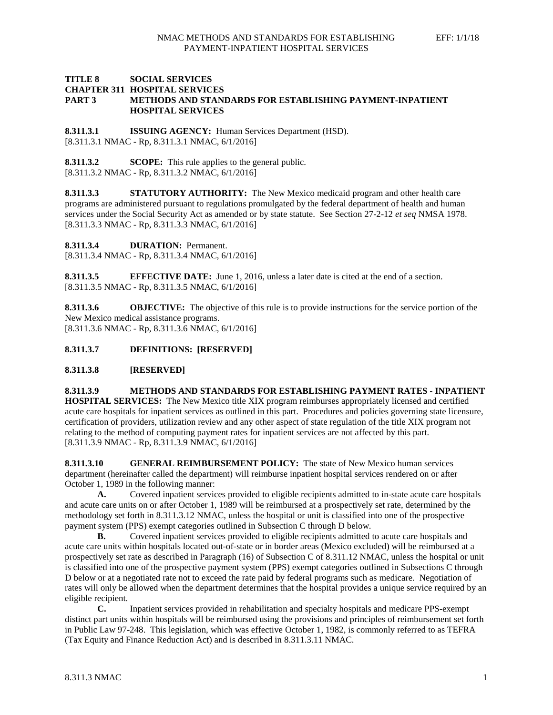### **TITLE 8 SOCIAL SERVICES CHAPTER 311 HOSPITAL SERVICES PART 3 METHODS AND STANDARDS FOR ESTABLISHING PAYMENT-INPATIENT HOSPITAL SERVICES**

**8.311.3.1 ISSUING AGENCY:** Human Services Department (HSD). [8.311.3.1 NMAC - Rp, 8.311.3.1 NMAC, 6/1/2016]

**8.311.3.2 SCOPE:** This rule applies to the general public. [8.311.3.2 NMAC - Rp, 8.311.3.2 NMAC, 6/1/2016]

**8.311.3.3 STATUTORY AUTHORITY:** The New Mexico medicaid program and other health care programs are administered pursuant to regulations promulgated by the federal department of health and human services under the Social Security Act as amended or by state statute. See Section 27-2-12 *et seq* NMSA 1978. [8.311.3.3 NMAC - Rp, 8.311.3.3 NMAC, 6/1/2016]

**8.311.3.4 DURATION:** Permanent.

[8.311.3.4 NMAC - Rp, 8.311.3.4 NMAC, 6/1/2016]

**8.311.3.5 EFFECTIVE DATE:** June 1, 2016, unless a later date is cited at the end of a section. [8.311.3.5 NMAC - Rp, 8.311.3.5 NMAC, 6/1/2016]

**8.311.3.6 OBJECTIVE:** The objective of this rule is to provide instructions for the service portion of the New Mexico medical assistance programs. [8.311.3.6 NMAC - Rp, 8.311.3.6 NMAC, 6/1/2016]

**8.311.3.7 DEFINITIONS: [RESERVED]**

**8.311.3.8 [RESERVED]**

**8.311.3.9 METHODS AND STANDARDS FOR ESTABLISHING PAYMENT RATES - INPATIENT HOSPITAL SERVICES:** The New Mexico title XIX program reimburses appropriately licensed and certified acute care hospitals for inpatient services as outlined in this part. Procedures and policies governing state licensure, certification of providers, utilization review and any other aspect of state regulation of the title XIX program not relating to the method of computing payment rates for inpatient services are not affected by this part. [8.311.3.9 NMAC - Rp, 8.311.3.9 NMAC, 6/1/2016]

**8.311.3.10 GENERAL REIMBURSEMENT POLICY:** The state of New Mexico human services department (hereinafter called the department) will reimburse inpatient hospital services rendered on or after October 1, 1989 in the following manner:

**A.** Covered inpatient services provided to eligible recipients admitted to in-state acute care hospitals and acute care units on or after October 1, 1989 will be reimbursed at a prospectively set rate, determined by the methodology set forth in 8.311.3.12 NMAC, unless the hospital or unit is classified into one of the prospective payment system (PPS) exempt categories outlined in Subsection C through D below.

**B.** Covered inpatient services provided to eligible recipients admitted to acute care hospitals and acute care units within hospitals located out-of-state or in border areas (Mexico excluded) will be reimbursed at a prospectively set rate as described in Paragraph (16) of Subsection C of 8.311.12 NMAC, unless the hospital or unit is classified into one of the prospective payment system (PPS) exempt categories outlined in Subsections C through D below or at a negotiated rate not to exceed the rate paid by federal programs such as medicare. Negotiation of rates will only be allowed when the department determines that the hospital provides a unique service required by an eligible recipient.

**C.** Inpatient services provided in rehabilitation and specialty hospitals and medicare PPS-exempt distinct part units within hospitals will be reimbursed using the provisions and principles of reimbursement set forth in Public Law 97-248. This legislation, which was effective October 1, 1982, is commonly referred to as TEFRA (Tax Equity and Finance Reduction Act) and is described in 8.311.3.11 NMAC.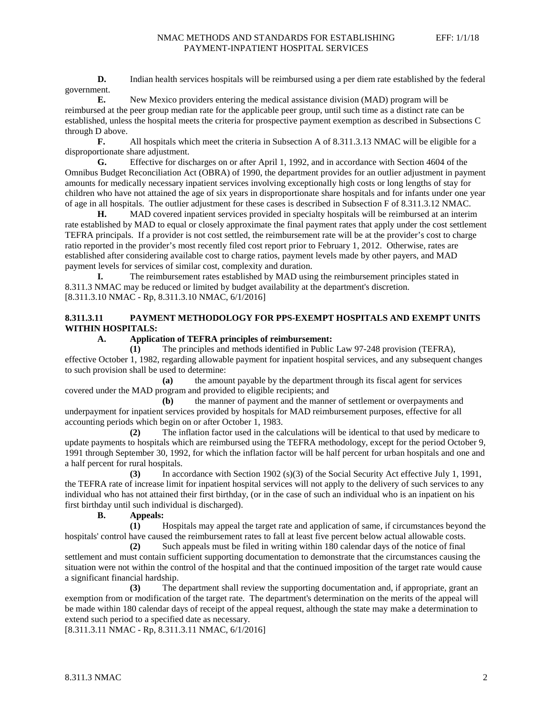**D.** Indian health services hospitals will be reimbursed using a per diem rate established by the federal government.

**E.** New Mexico providers entering the medical assistance division (MAD) program will be reimbursed at the peer group median rate for the applicable peer group, until such time as a distinct rate can be established, unless the hospital meets the criteria for prospective payment exemption as described in Subsections C through D above.

**F.** All hospitals which meet the criteria in Subsection A of 8.311.3.13 NMAC will be eligible for a disproportionate share adjustment.

**G.** Effective for discharges on or after April 1, 1992, and in accordance with Section 4604 of the Omnibus Budget Reconciliation Act (OBRA) of 1990, the department provides for an outlier adjustment in payment amounts for medically necessary inpatient services involving exceptionally high costs or long lengths of stay for children who have not attained the age of six years in disproportionate share hospitals and for infants under one year of age in all hospitals. The outlier adjustment for these cases is described in Subsection F of 8.311.3.12 NMAC.

**H.** MAD covered inpatient services provided in specialty hospitals will be reimbursed at an interim rate established by MAD to equal or closely approximate the final payment rates that apply under the cost settlement TEFRA principals. If a provider is not cost settled, the reimbursement rate will be at the provider's cost to charge ratio reported in the provider's most recently filed cost report prior to February 1, 2012. Otherwise, rates are established after considering available cost to charge ratios, payment levels made by other payers, and MAD payment levels for services of similar cost, complexity and duration.

**I.** The reimbursement rates established by MAD using the reimbursement principles stated in 8.311.3 NMAC may be reduced or limited by budget availability at the department's discretion. [8.311.3.10 NMAC - Rp, 8.311.3.10 NMAC, 6/1/2016]

# **8.311.3.11 PAYMENT METHODOLOGY FOR PPS-EXEMPT HOSPITALS AND EXEMPT UNITS WITHIN HOSPITALS:**

# **A. Application of TEFRA principles of reimbursement:**<br>(1) The principles and methods identified in Public

**(1)** The principles and methods identified in Public Law 97-248 provision (TEFRA), effective October 1, 1982, regarding allowable payment for inpatient hospital services, and any subsequent changes to such provision shall be used to determine:

**(a)** the amount payable by the department through its fiscal agent for services covered under the MAD program and provided to eligible recipients; and

**(b)** the manner of payment and the manner of settlement or overpayments and underpayment for inpatient services provided by hospitals for MAD reimbursement purposes, effective for all accounting periods which begin on or after October 1, 1983.

**(2)** The inflation factor used in the calculations will be identical to that used by medicare to update payments to hospitals which are reimbursed using the TEFRA methodology, except for the period October 9, 1991 through September 30, 1992, for which the inflation factor will be half percent for urban hospitals and one and a half percent for rural hospitals.

**(3)** In accordance with Section 1902 (s)(3) of the Social Security Act effective July 1, 1991, the TEFRA rate of increase limit for inpatient hospital services will not apply to the delivery of such services to any individual who has not attained their first birthday, (or in the case of such an individual who is an inpatient on his first birthday until such individual is discharged).

**B. Appeals:**

**(1)** Hospitals may appeal the target rate and application of same, if circumstances beyond the hospitals' control have caused the reimbursement rates to fall at least five percent below actual allowable costs.

**(2)** Such appeals must be filed in writing within 180 calendar days of the notice of final settlement and must contain sufficient supporting documentation to demonstrate that the circumstances causing the situation were not within the control of the hospital and that the continued imposition of the target rate would cause a significant financial hardship.

**(3)** The department shall review the supporting documentation and, if appropriate, grant an exemption from or modification of the target rate. The department's determination on the merits of the appeal will be made within 180 calendar days of receipt of the appeal request, although the state may make a determination to extend such period to a specified date as necessary.

[8.311.3.11 NMAC - Rp, 8.311.3.11 NMAC, 6/1/2016]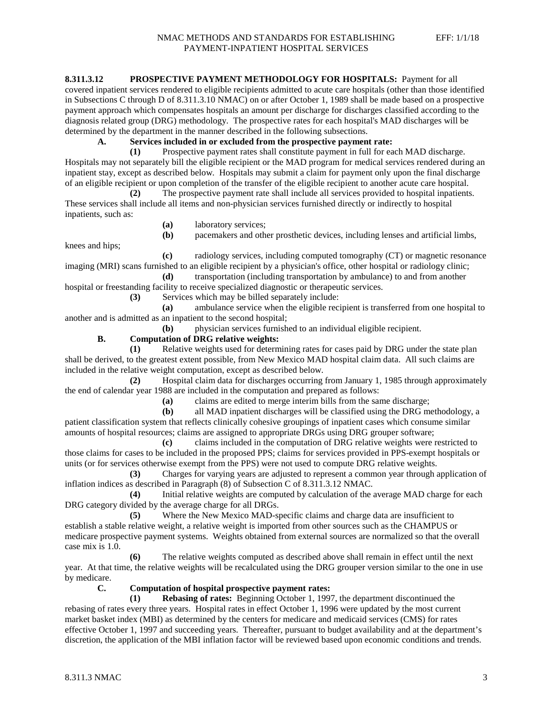### **8.311.3.12 PROSPECTIVE PAYMENT METHODOLOGY FOR HOSPITALS:** Payment for all

covered inpatient services rendered to eligible recipients admitted to acute care hospitals (other than those identified in Subsections C through D of 8.311.3.10 NMAC) on or after October 1, 1989 shall be made based on a prospective payment approach which compensates hospitals an amount per discharge for discharges classified according to the diagnosis related group (DRG) methodology. The prospective rates for each hospital's MAD discharges will be determined by the department in the manner described in the following subsections.

### **A. Services included in or excluded from the prospective payment rate:**

**(1)** Prospective payment rates shall constitute payment in full for each MAD discharge. Hospitals may not separately bill the eligible recipient or the MAD program for medical services rendered during an inpatient stay, except as described below. Hospitals may submit a claim for payment only upon the final discharge of an eligible recipient or upon completion of the transfer of the eligible recipient to another acute care hospital.

**(2)** The prospective payment rate shall include all services provided to hospital inpatients. These services shall include all items and non-physician services furnished directly or indirectly to hospital inpatients, such as:

- 
- **(a)** laboratory services; **(b)** pacemakers and other prosthetic devices, including lenses and artificial limbs,

knees and hips;

**(c)** radiology services, including computed tomography (CT) or magnetic resonance imaging (MRI) scans furnished to an eligible recipient by a physician's office, other hospital or radiology clinic;

**(d)** transportation (including transportation by ambulance) to and from another hospital or freestanding facility to receive specialized diagnostic or therapeutic services.

**(3)** Services which may be billed separately include:

**(a)** ambulance service when the eligible recipient is transferred from one hospital to another and is admitted as an inpatient to the second hospital;

**(b)** physician services furnished to an individual eligible recipient.

## **B. Computation of DRG relative weights:**

**(1)** Relative weights used for determining rates for cases paid by DRG under the state plan shall be derived, to the greatest extent possible, from New Mexico MAD hospital claim data. All such claims are included in the relative weight computation, except as described below.

**(2)** Hospital claim data for discharges occurring from January 1, 1985 through approximately the end of calendar year 1988 are included in the computation and prepared as follows:

**(a)** claims are edited to merge interim bills from the same discharge;

**(b)** all MAD inpatient discharges will be classified using the DRG methodology, a patient classification system that reflects clinically cohesive groupings of inpatient cases which consume similar amounts of hospital resources; claims are assigned to appropriate DRGs using DRG grouper software;

**(c)** claims included in the computation of DRG relative weights were restricted to those claims for cases to be included in the proposed PPS; claims for services provided in PPS-exempt hospitals or units (or for services otherwise exempt from the PPS) were not used to compute DRG relative weights.

**(3)** Charges for varying years are adjusted to represent a common year through application of inflation indices as described in Paragraph (8) of Subsection C of 8.311.3.12 NMAC.

**(4)** Initial relative weights are computed by calculation of the average MAD charge for each DRG category divided by the average charge for all DRGs.

**(5)** Where the New Mexico MAD-specific claims and charge data are insufficient to establish a stable relative weight, a relative weight is imported from other sources such as the CHAMPUS or medicare prospective payment systems. Weights obtained from external sources are normalized so that the overall case mix is 1.0.

**(6)** The relative weights computed as described above shall remain in effect until the next year. At that time, the relative weights will be recalculated using the DRG grouper version similar to the one in use by medicare.

### **C. Computation of hospital prospective payment rates:**

**(1) Rebasing of rates:** Beginning October 1, 1997, the department discontinued the rebasing of rates every three years. Hospital rates in effect October 1, 1996 were updated by the most current market basket index (MBI) as determined by the centers for medicare and medicaid services (CMS) for rates effective October 1, 1997 and succeeding years. Thereafter, pursuant to budget availability and at the department's discretion, the application of the MBI inflation factor will be reviewed based upon economic conditions and trends.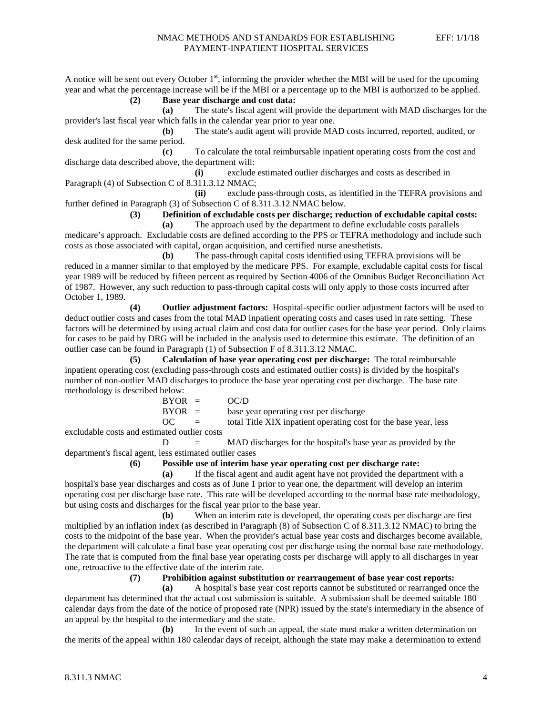A notice will be sent out every October  $1<sup>st</sup>$ , informing the provider whether the MBI will be used for the upcoming year and what the percentage increase will be if the MBI or a percentage up to the MBI is authorized to be applied.

**(2) Base year discharge and cost data:**

**(a)** The state's fiscal agent will provide the department with MAD discharges for the provider's last fiscal year which falls in the calendar year prior to year one.

**(b)** The state's audit agent will provide MAD costs incurred, reported, audited, or desk audited for the same period.

**(c)** To calculate the total reimbursable inpatient operating costs from the cost and discharge data described above, the department will:

**(i)** exclude estimated outlier discharges and costs as described in Paragraph (4) of Subsection C of 8.311.3.12 NMAC;

**(ii)** exclude pass-through costs, as identified in the TEFRA provisions and further defined in Paragraph (3) of Subsection C of 8.311.3.12 NMAC below.

**(3) Definition of excludable costs per discharge; reduction of excludable capital costs:**

**(a)** The approach used by the department to define excludable costs parallels medicare's approach. Excludable costs are defined according to the PPS or TEFRA methodology and include such costs as those associated with capital, organ acquisition, and certified nurse anesthetists.

**(b)** The pass-through capital costs identified using TEFRA provisions will be reduced in a manner similar to that employed by the medicare PPS. For example, excludable capital costs for fiscal year 1989 will be reduced by fifteen percent as required by Section 4006 of the Omnibus Budget Reconciliation Act of 1987. However, any such reduction to pass-through capital costs will only apply to those costs incurred after October 1, 1989.

**(4) Outlier adjustment factors:** Hospital-specific outlier adjustment factors will be used to deduct outlier costs and cases from the total MAD inpatient operating costs and cases used in rate setting. These factors will be determined by using actual claim and cost data for outlier cases for the base year period. Only claims for cases to be paid by DRG will be included in the analysis used to determine this estimate. The definition of an outlier case can be found in Paragraph (1) of Subsection F of 8.311.3.12 NMAC.

**(5) Calculation of base year operating cost per discharge:** The total reimbursable inpatient operating cost (excluding pass-through costs and estimated outlier costs) is divided by the hospital's number of non-outlier MAD discharges to produce the base year operating cost per discharge. The base rate methodology is described below:

| $BYOR =$ |                           | OC/D                                                             |
|----------|---------------------------|------------------------------------------------------------------|
| $BYOR =$ |                           | base year operating cost per discharge                           |
| OC.      | $\mathbf{r} = \mathbf{r}$ | total Title XIX inpatient operating cost for the base year, less |
|          |                           |                                                                  |

excludable costs and estimated outlier costs

 $D = MAD$  discharges for the hospital's base year as provided by the department's fiscal agent, less estimated outlier cases

**(6) Possible use of interim base year operating cost per discharge rate:**

**(a)** If the fiscal agent and audit agent have not provided the department with a hospital's base year discharges and costs as of June 1 prior to year one, the department will develop an interim operating cost per discharge base rate. This rate will be developed according to the normal base rate methodology, but using costs and discharges for the fiscal year prior to the base year.

**(b)** When an interim rate is developed, the operating costs per discharge are first multiplied by an inflation index (as described in Paragraph (8) of Subsection C of 8.311.3.12 NMAC) to bring the costs to the midpoint of the base year. When the provider's actual base year costs and discharges become available, the department will calculate a final base year operating cost per discharge using the normal base rate methodology. The rate that is computed from the final base year operating costs per discharge will apply to all discharges in year one, retroactive to the effective date of the interim rate.

**(7) Prohibition against substitution or rearrangement of base year cost reports:**

**(a)** A hospital's base year cost reports cannot be substituted or rearranged once the department has determined that the actual cost submission is suitable. A submission shall be deemed suitable 180 calendar days from the date of the notice of proposed rate (NPR) issued by the state's intermediary in the absence of an appeal by the hospital to the intermediary and the state.

**(b)** In the event of such an appeal, the state must make a written determination on the merits of the appeal within 180 calendar days of receipt, although the state may make a determination to extend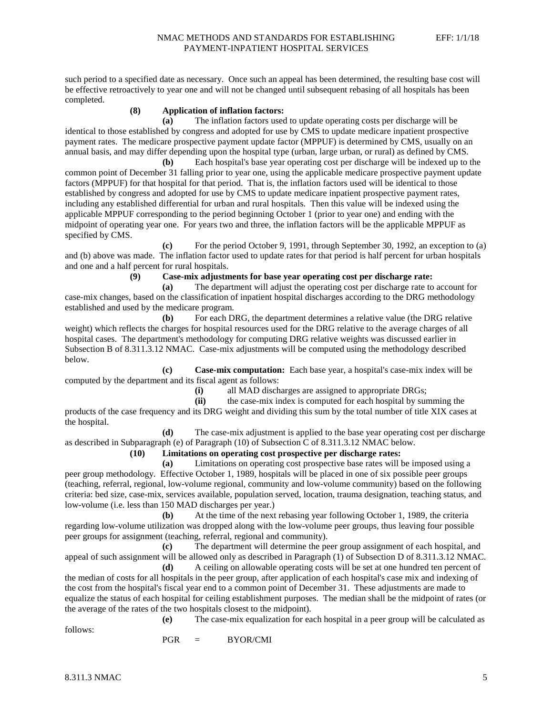such period to a specified date as necessary. Once such an appeal has been determined, the resulting base cost will be effective retroactively to year one and will not be changed until subsequent rebasing of all hospitals has been completed.

### **(8) Application of inflation factors:**

**(a)** The inflation factors used to update operating costs per discharge will be identical to those established by congress and adopted for use by CMS to update medicare inpatient prospective payment rates. The medicare prospective payment update factor (MPPUF) is determined by CMS, usually on an annual basis, and may differ depending upon the hospital type (urban, large urban, or rural) as defined by CMS.

**(b)** Each hospital's base year operating cost per discharge will be indexed up to the common point of December 31 falling prior to year one, using the applicable medicare prospective payment update factors (MPPUF) for that hospital for that period. That is, the inflation factors used will be identical to those established by congress and adopted for use by CMS to update medicare inpatient prospective payment rates, including any established differential for urban and rural hospitals. Then this value will be indexed using the applicable MPPUF corresponding to the period beginning October 1 (prior to year one) and ending with the midpoint of operating year one. For years two and three, the inflation factors will be the applicable MPPUF as specified by CMS.

**(c)** For the period October 9, 1991, through September 30, 1992, an exception to (a) and (b) above was made. The inflation factor used to update rates for that period is half percent for urban hospitals and one and a half percent for rural hospitals.

**(9) Case-mix adjustments for base year operating cost per discharge rate:**

**(a)** The department will adjust the operating cost per discharge rate to account for case-mix changes, based on the classification of inpatient hospital discharges according to the DRG methodology established and used by the medicare program.

**(b)** For each DRG, the department determines a relative value (the DRG relative weight) which reflects the charges for hospital resources used for the DRG relative to the average charges of all hospital cases. The department's methodology for computing DRG relative weights was discussed earlier in Subsection B of 8.311.3.12 NMAC. Case-mix adjustments will be computed using the methodology described below.

**(c) Case-mix computation:** Each base year, a hospital's case-mix index will be computed by the department and its fiscal agent as follows:

**(i)** all MAD discharges are assigned to appropriate DRGs;

**(ii)** the case-mix index is computed for each hospital by summing the products of the case frequency and its DRG weight and dividing this sum by the total number of title XIX cases at the hospital.

**(d)** The case-mix adjustment is applied to the base year operating cost per discharge as described in Subparagraph (e) of Paragraph (10) of Subsection C of 8.311.3.12 NMAC below.

### **(10) Limitations on operating cost prospective per discharge rates:**

**(a)** Limitations on operating cost prospective base rates will be imposed using a peer group methodology. Effective October 1, 1989, hospitals will be placed in one of six possible peer groups (teaching, referral, regional, low-volume regional, community and low-volume community) based on the following criteria: bed size, case-mix, services available, population served, location, trauma designation, teaching status, and low-volume (i.e. less than 150 MAD discharges per year.)

**(b)** At the time of the next rebasing year following October 1, 1989, the criteria regarding low-volume utilization was dropped along with the low-volume peer groups, thus leaving four possible peer groups for assignment (teaching, referral, regional and community).

**(c)** The department will determine the peer group assignment of each hospital, and appeal of such assignment will be allowed only as described in Paragraph (1) of Subsection D of 8.311.3.12 NMAC.

**(d)** A ceiling on allowable operating costs will be set at one hundred ten percent of the median of costs for all hospitals in the peer group, after application of each hospital's case mix and indexing of the cost from the hospital's fiscal year end to a common point of December 31. These adjustments are made to equalize the status of each hospital for ceiling establishment purposes. The median shall be the midpoint of rates (or the average of the rates of the two hospitals closest to the midpoint).

follows:

**(e)** The case-mix equalization for each hospital in a peer group will be calculated as

 $PGR = BYOR/CMI$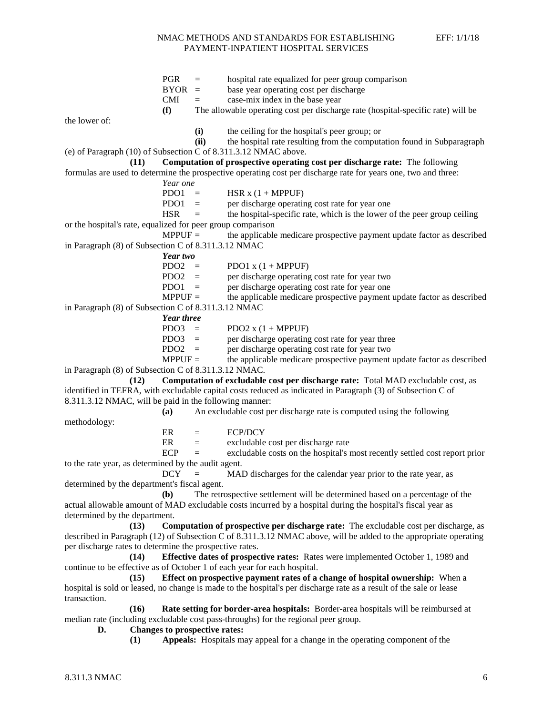PGR = hospital rate equalized for peer group comparison<br>BYOR = base year operating cost per discharge base year operating cost per discharge  $CMI = \cose-mix \text{ index in the base year}$ **(f)** The allowable operating cost per discharge rate (hospital-specific rate) will be the lower of: **(i)** the ceiling for the hospital's peer group; or **(ii)** the hospital rate resulting from the computation found in Subparagraph (e) of Paragraph (10) of Subsection C of 8.311.3.12 NMAC above. **(11) Computation of prospective operating cost per discharge rate:** The following formulas are used to determine the prospective operating cost per discharge rate for years one, two and three: *Year one* PDO1 = HSR x  $(1 + \text{MPPUF})$ <br>PDO1 = ner discharge operation per discharge operating cost rate for year one  $HSR =$  the hospital-specific rate, which is the lower of the peer group ceiling or the hospital's rate, equalized for peer group comparison<br>MPPUF = the applicable the applicable medicare prospective payment update factor as described in Paragraph (8) of Subsection C of 8.311.3.12 NMAC *Year two* PDO1  $x$  (1 + MPPUF) PDO2 = per discharge operating cost rate for year two PDO1 = per discharge operating cost rate for year one<br>MPPUF = the applicable medicare prospective payment the applicable medicare prospective payment update factor as described in Paragraph (8) of Subsection C of 8.311.3.12 NMAC *Year three*<br>PDO3 = PDO2  $x$  (1 + MPPUF) PDO3 = per discharge operating cost rate for year three PDO2 = per discharge operating cost rate for year two MPPUF = the applicable medicare prospective payment update factor as described in Paragraph (8) of Subsection C of 8.311.3.12 NMAC. **(12) Computation of excludable cost per discharge rate:** Total MAD excludable cost, as identified in TEFRA, with excludable capital costs reduced as indicated in Paragraph (3) of Subsection C of 8.311.3.12 NMAC, will be paid in the following manner: **(a)** An excludable cost per discharge rate is computed using the following methodology:  $ER = ECP/DCY$ ER = excludable cost per discharge rate  $ECP =$  excludable costs on the hospital's most recently settled cost report prior to the rate year, as determined by the audit agent.  $DCY = MAD$  discharges for the calendar year prior to the rate year, as determined by the department's fiscal agent. **(b)** The retrospective settlement will be determined based on a percentage of the actual allowable amount of MAD excludable costs incurred by a hospital during the hospital's fiscal year as determined by the department. **(13) Computation of prospective per discharge rate:** The excludable cost per discharge, as described in Paragraph (12) of Subsection C of 8.311.3.12 NMAC above, will be added to the appropriate operating per discharge rates to determine the prospective rates. **(14) Effective dates of prospective rates:** Rates were implemented October 1, 1989 and continue to be effective as of October 1 of each year for each hospital. **(15) Effect on prospective payment rates of a change of hospital ownership:** When a hospital is sold or leased, no change is made to the hospital's per discharge rate as a result of the sale or lease transaction. **(16) Rate setting for border-area hospitals:** Border-area hospitals will be reimbursed at median rate (including excludable cost pass-throughs) for the regional peer group.

**D. Changes to prospective rates:**

**(1) Appeals:** Hospitals may appeal for a change in the operating component of the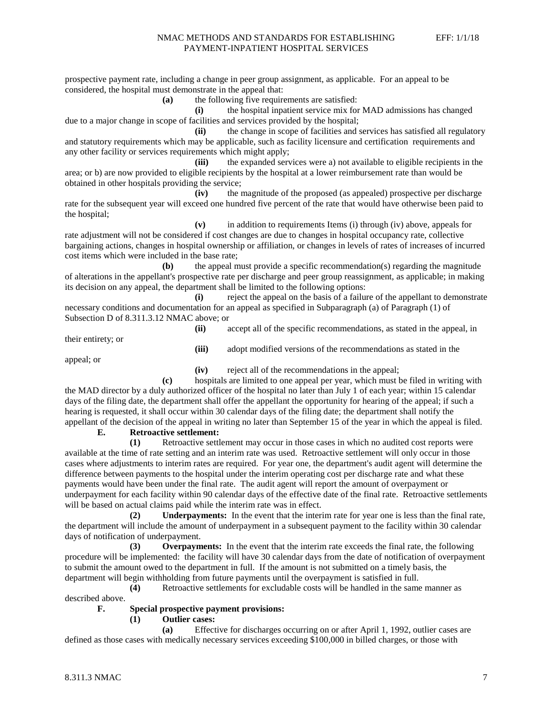prospective payment rate, including a change in peer group assignment, as applicable. For an appeal to be considered, the hospital must demonstrate in the appeal that:

**(a)** the following five requirements are satisfied:

**(i)** the hospital inpatient service mix for MAD admissions has changed due to a major change in scope of facilities and services provided by the hospital;

**(ii)** the change in scope of facilities and services has satisfied all regulatory and statutory requirements which may be applicable, such as facility licensure and certification requirements and any other facility or services requirements which might apply;

**(iii)** the expanded services were a) not available to eligible recipients in the area; or b) are now provided to eligible recipients by the hospital at a lower reimbursement rate than would be obtained in other hospitals providing the service;

**(iv)** the magnitude of the proposed (as appealed) prospective per discharge rate for the subsequent year will exceed one hundred five percent of the rate that would have otherwise been paid to the hospital;

**(v)** in addition to requirements Items (i) through (iv) above, appeals for rate adjustment will not be considered if cost changes are due to changes in hospital occupancy rate, collective bargaining actions, changes in hospital ownership or affiliation, or changes in levels of rates of increases of incurred cost items which were included in the base rate;

**(b)** the appeal must provide a specific recommendation(s) regarding the magnitude of alterations in the appellant's prospective rate per discharge and peer group reassignment, as applicable; in making its decision on any appeal, the department shall be limited to the following options:

**(i)** reject the appeal on the basis of a failure of the appellant to demonstrate necessary conditions and documentation for an appeal as specified in Subparagraph (a) of Paragraph (1) of Subsection D of 8.311.3.12 NMAC above; or

**(ii)** accept all of the specific recommendations, as stated in the appeal, in

their entirety; or

**(iii)** adopt modified versions of the recommendations as stated in the

appeal; or

**(iv)** reject all of the recommendations in the appeal;

**(c)** hospitals are limited to one appeal per year, which must be filed in writing with the MAD director by a duly authorized officer of the hospital no later than July 1 of each year; within 15 calendar days of the filing date, the department shall offer the appellant the opportunity for hearing of the appeal; if such a hearing is requested, it shall occur within 30 calendar days of the filing date; the department shall notify the appellant of the decision of the appeal in writing no later than September 15 of the year in which the appeal is filed.

### **E. Retroactive settlement:**

**(1)** Retroactive settlement may occur in those cases in which no audited cost reports were available at the time of rate setting and an interim rate was used. Retroactive settlement will only occur in those cases where adjustments to interim rates are required. For year one, the department's audit agent will determine the difference between payments to the hospital under the interim operating cost per discharge rate and what these payments would have been under the final rate. The audit agent will report the amount of overpayment or underpayment for each facility within 90 calendar days of the effective date of the final rate. Retroactive settlements will be based on actual claims paid while the interim rate was in effect.

**(2) Underpayments:** In the event that the interim rate for year one is less than the final rate, the department will include the amount of underpayment in a subsequent payment to the facility within 30 calendar days of notification of underpayment.

**(3) Overpayments:** In the event that the interim rate exceeds the final rate, the following procedure will be implemented: the facility will have 30 calendar days from the date of notification of overpayment to submit the amount owed to the department in full. If the amount is not submitted on a timely basis, the department will begin withholding from future payments until the overpayment is satisfied in full.

**(4)** Retroactive settlements for excludable costs will be handled in the same manner as described above.

### **F. Special prospective payment provisions:**

**(1) Outlier cases:**

**(a)** Effective for discharges occurring on or after April 1, 1992, outlier cases are defined as those cases with medically necessary services exceeding \$100,000 in billed charges, or those with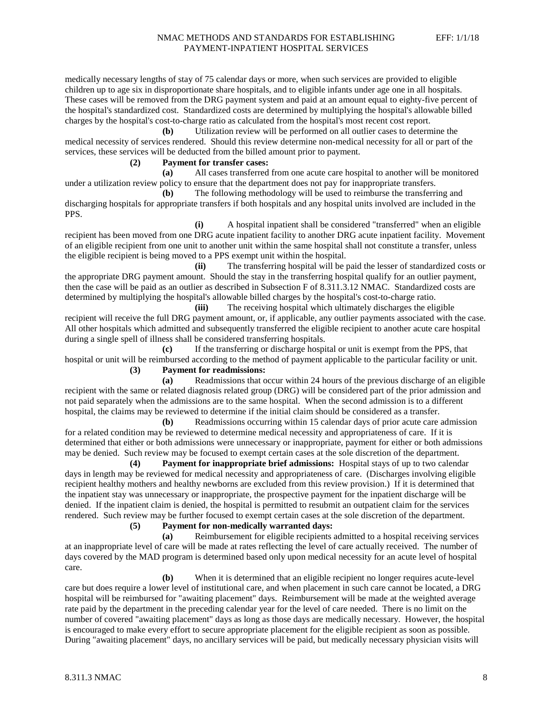medically necessary lengths of stay of 75 calendar days or more, when such services are provided to eligible children up to age six in disproportionate share hospitals, and to eligible infants under age one in all hospitals. These cases will be removed from the DRG payment system and paid at an amount equal to eighty-five percent of the hospital's standardized cost. Standardized costs are determined by multiplying the hospital's allowable billed charges by the hospital's cost-to-charge ratio as calculated from the hospital's most recent cost report.

**(b)** Utilization review will be performed on all outlier cases to determine the medical necessity of services rendered. Should this review determine non-medical necessity for all or part of the services, these services will be deducted from the billed amount prior to payment.

### **(2) Payment for transfer cases:**

**(a)** All cases transferred from one acute care hospital to another will be monitored under a utilization review policy to ensure that the department does not pay for inappropriate transfers.

**(b)** The following methodology will be used to reimburse the transferring and discharging hospitals for appropriate transfers if both hospitals and any hospital units involved are included in the PPS.

**(i)** A hospital inpatient shall be considered "transferred" when an eligible recipient has been moved from one DRG acute inpatient facility to another DRG acute inpatient facility. Movement of an eligible recipient from one unit to another unit within the same hospital shall not constitute a transfer, unless the eligible recipient is being moved to a PPS exempt unit within the hospital.

**(ii)** The transferring hospital will be paid the lesser of standardized costs or the appropriate DRG payment amount. Should the stay in the transferring hospital qualify for an outlier payment, then the case will be paid as an outlier as described in Subsection F of 8.311.3.12 NMAC. Standardized costs are determined by multiplying the hospital's allowable billed charges by the hospital's cost-to-charge ratio.

**(iii)** The receiving hospital which ultimately discharges the eligible recipient will receive the full DRG payment amount, or, if applicable, any outlier payments associated with the case. All other hospitals which admitted and subsequently transferred the eligible recipient to another acute care hospital during a single spell of illness shall be considered transferring hospitals.

**(c)** If the transferring or discharge hospital or unit is exempt from the PPS, that hospital or unit will be reimbursed according to the method of payment applicable to the particular facility or unit. **(3) Payment for readmissions:**

**(a)** Readmissions that occur within 24 hours of the previous discharge of an eligible recipient with the same or related diagnosis related group (DRG) will be considered part of the prior admission and not paid separately when the admissions are to the same hospital. When the second admission is to a different hospital, the claims may be reviewed to determine if the initial claim should be considered as a transfer.

**(b)** Readmissions occurring within 15 calendar days of prior acute care admission for a related condition may be reviewed to determine medical necessity and appropriateness of care. If it is determined that either or both admissions were unnecessary or inappropriate, payment for either or both admissions may be denied. Such review may be focused to exempt certain cases at the sole discretion of the department.

**(4) Payment for inappropriate brief admissions:** Hospital stays of up to two calendar days in length may be reviewed for medical necessity and appropriateness of care. (Discharges involving eligible recipient healthy mothers and healthy newborns are excluded from this review provision.) If it is determined that the inpatient stay was unnecessary or inappropriate, the prospective payment for the inpatient discharge will be denied. If the inpatient claim is denied, the hospital is permitted to resubmit an outpatient claim for the services rendered. Such review may be further focused to exempt certain cases at the sole discretion of the department.

### **(5) Payment for non-medically warranted days:**

**(a)** Reimbursement for eligible recipients admitted to a hospital receiving services at an inappropriate level of care will be made at rates reflecting the level of care actually received. The number of days covered by the MAD program is determined based only upon medical necessity for an acute level of hospital care.

**(b)** When it is determined that an eligible recipient no longer requires acute-level care but does require a lower level of institutional care, and when placement in such care cannot be located, a DRG hospital will be reimbursed for "awaiting placement" days. Reimbursement will be made at the weighted average rate paid by the department in the preceding calendar year for the level of care needed. There is no limit on the number of covered "awaiting placement" days as long as those days are medically necessary. However, the hospital is encouraged to make every effort to secure appropriate placement for the eligible recipient as soon as possible. During "awaiting placement" days, no ancillary services will be paid, but medically necessary physician visits will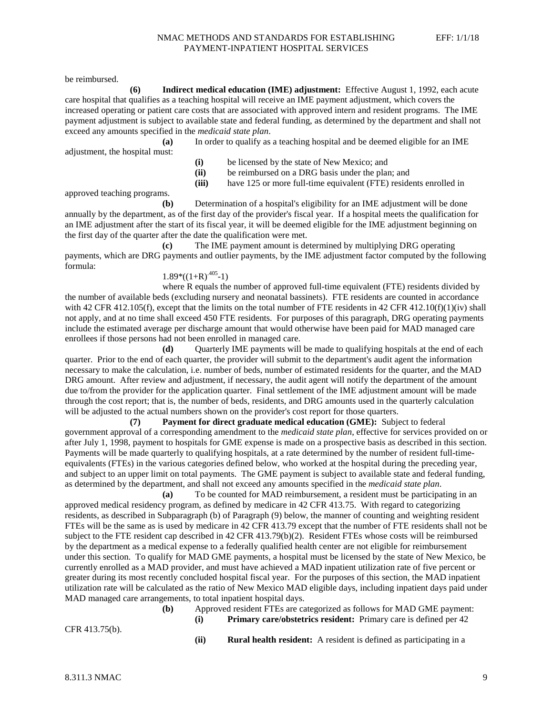be reimbursed.

**(6) Indirect medical education (IME) adjustment:** Effective August 1, 1992, each acute care hospital that qualifies as a teaching hospital will receive an IME payment adjustment, which covers the increased operating or patient care costs that are associated with approved intern and resident programs. The IME payment adjustment is subject to available state and federal funding, as determined by the department and shall not exceed any amounts specified in the *medicaid state plan*. **(a)** In order to qualify as a teaching hospital and be deemed eligible for an IME

adjustment, the hospital must:

- **(i)** be licensed by the state of New Mexico; and
- **(ii)** be reimbursed on a DRG basis under the plan; and
- **(iii)** have 125 or more full-time equivalent (FTE) residents enrolled in

approved teaching programs.

**(b)** Determination of a hospital's eligibility for an IME adjustment will be done annually by the department, as of the first day of the provider's fiscal year. If a hospital meets the qualification for an IME adjustment after the start of its fiscal year, it will be deemed eligible for the IME adjustment beginning on the first day of the quarter after the date the qualification were met.

**(c)** The IME payment amount is determined by multiplying DRG operating payments, which are DRG payments and outlier payments, by the IME adjustment factor computed by the following formula:

# $1.89*(1+R)^{.405}-1)$

where R equals the number of approved full-time equivalent (FTE) residents divided by the number of available beds (excluding nursery and neonatal bassinets). FTE residents are counted in accordance with 42 CFR 412.105(f), except that the limits on the total number of FTE residents in 42 CFR 412.10(f)(1)(iv) shall not apply, and at no time shall exceed 450 FTE residents. For purposes of this paragraph, DRG operating payments include the estimated average per discharge amount that would otherwise have been paid for MAD managed care enrollees if those persons had not been enrolled in managed care.

**(d)** Quarterly IME payments will be made to qualifying hospitals at the end of each quarter. Prior to the end of each quarter, the provider will submit to the department's audit agent the information necessary to make the calculation, i.e. number of beds, number of estimated residents for the quarter, and the MAD DRG amount. After review and adjustment, if necessary, the audit agent will notify the department of the amount due to/from the provider for the application quarter. Final settlement of the IME adjustment amount will be made through the cost report; that is, the number of beds, residents, and DRG amounts used in the quarterly calculation will be adjusted to the actual numbers shown on the provider's cost report for those quarters.

**(7) Payment for direct graduate medical education (GME):** Subject to federal government approval of a corresponding amendment to the *medicaid state plan*, effective for services provided on or after July 1, 1998, payment to hospitals for GME expense is made on a prospective basis as described in this section. Payments will be made quarterly to qualifying hospitals, at a rate determined by the number of resident full-timeequivalents (FTEs) in the various categories defined below, who worked at the hospital during the preceding year, and subject to an upper limit on total payments. The GME payment is subject to available state and federal funding, as determined by the department, and shall not exceed any amounts specified in the *medicaid state plan*.

**(a)** To be counted for MAD reimbursement, a resident must be participating in an approved medical residency program, as defined by medicare in 42 CFR 413.75. With regard to categorizing residents, as described in Subparagraph (b) of Paragraph (9) below, the manner of counting and weighting resident FTEs will be the same as is used by medicare in 42 CFR 413.79 except that the number of FTE residents shall not be subject to the FTE resident cap described in 42 CFR 413.79(b)(2). Resident FTEs whose costs will be reimbursed by the department as a medical expense to a federally qualified health center are not eligible for reimbursement under this section. To qualify for MAD GME payments, a hospital must be licensed by the state of New Mexico, be currently enrolled as a MAD provider, and must have achieved a MAD inpatient utilization rate of five percent or greater during its most recently concluded hospital fiscal year. For the purposes of this section, the MAD inpatient utilization rate will be calculated as the ratio of New Mexico MAD eligible days, including inpatient days paid under MAD managed care arrangements, to total inpatient hospital days.

**(b)** Approved resident FTEs are categorized as follows for MAD GME payment: **(i) Primary care/obstetrics resident:** Primary care is defined per 42

CFR 413.75(b).

**(ii) Rural health resident:** A resident is defined as participating in a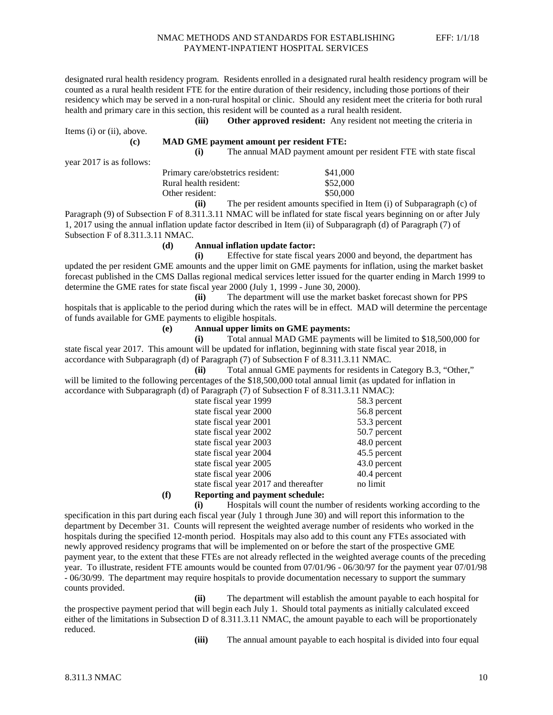designated rural health residency program. Residents enrolled in a designated rural health residency program will be counted as a rural health resident FTE for the entire duration of their residency, including those portions of their residency which may be served in a non-rural hospital or clinic. Should any resident meet the criteria for both rural health and primary care in this section, this resident will be counted as a rural health resident.

**(iii) Other approved resident:** Any resident not meeting the criteria in

Items (i) or (ii), above.

### **(c) MAD GME payment amount per resident FTE:**

**(i)** The annual MAD payment amount per resident FTE with state fiscal

year 2017 is as follows:

| Primary care/obstetrics resident: | \$41,000 |  |
|-----------------------------------|----------|--|
| Rural health resident:            | \$52,000 |  |
| Other resident:                   | \$50,000 |  |
|                                   |          |  |

**(ii)** The per resident amounts specified in Item (i) of Subparagraph (c) of Paragraph (9) of Subsection F of 8.311.3.11 NMAC will be inflated for state fiscal years beginning on or after July 1, 2017 using the annual inflation update factor described in Item (ii) of Subparagraph (d) of Paragraph (7) of Subsection F of 8.311.3.11 NMAC.

#### **(d) Annual inflation update factor:**

**(i)** Effective for state fiscal years 2000 and beyond, the department has updated the per resident GME amounts and the upper limit on GME payments for inflation, using the market basket forecast published in the CMS Dallas regional medical services letter issued for the quarter ending in March 1999 to determine the GME rates for state fiscal year 2000 (July 1, 1999 - June 30, 2000).

**(ii)** The department will use the market basket forecast shown for PPS hospitals that is applicable to the period during which the rates will be in effect. MAD will determine the percentage of funds available for GME payments to eligible hospitals.

**(e) Annual upper limits on GME payments:**

**(i)** Total annual MAD GME payments will be limited to \$18,500,000 for state fiscal year 2017. This amount will be updated for inflation, beginning with state fiscal year 2018, in accordance with Subparagraph (d) of Paragraph (7) of Subsection F of 8.311.3.11 NMAC.

**(ii)** Total annual GME payments for residents in Category B.3, "Other," will be limited to the following percentages of the \$18,500,000 total annual limit (as updated for inflation in accordance with Subparagraph (d) of Paragraph (7) of Subsection F of 8.311.3.11 NMAC):

| state fiscal year 1999                | 58.3 percent |
|---------------------------------------|--------------|
| state fiscal year 2000                | 56.8 percent |
| state fiscal year 2001                | 53.3 percent |
| state fiscal year 2002                | 50.7 percent |
| state fiscal year 2003                | 48.0 percent |
| state fiscal year 2004                | 45.5 percent |
| state fiscal year 2005                | 43.0 percent |
| state fiscal year 2006                | 40.4 percent |
| state fiscal year 2017 and thereafter | no limit     |
| <b>n</b> <i>i</i> 1 <i>i</i> 1 1 1 1  |              |

### **(f) Reporting and payment schedule:**

**(i)** Hospitals will count the number of residents working according to the

specification in this part during each fiscal year (July 1 through June 30) and will report this information to the department by December 31. Counts will represent the weighted average number of residents who worked in the hospitals during the specified 12-month period. Hospitals may also add to this count any FTEs associated with newly approved residency programs that will be implemented on or before the start of the prospective GME payment year, to the extent that these FTEs are not already reflected in the weighted average counts of the preceding year. To illustrate, resident FTE amounts would be counted from 07/01/96 - 06/30/97 for the payment year 07/01/98 - 06/30/99. The department may require hospitals to provide documentation necessary to support the summary counts provided.

**(ii)** The department will establish the amount payable to each hospital for the prospective payment period that will begin each July 1. Should total payments as initially calculated exceed either of the limitations in Subsection D of 8.311.3.11 NMAC, the amount payable to each will be proportionately reduced.

**(iii)** The annual amount payable to each hospital is divided into four equal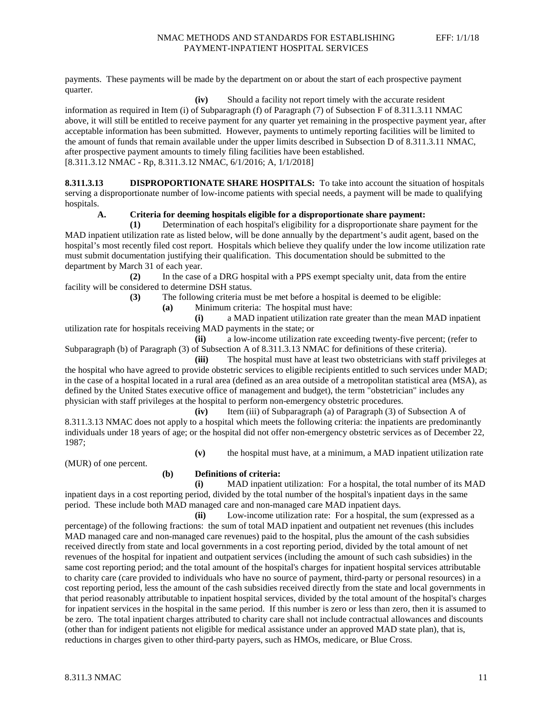payments. These payments will be made by the department on or about the start of each prospective payment quarter.

**(iv)** Should a facility not report timely with the accurate resident

information as required in Item (i) of Subparagraph (f) of Paragraph (7) of Subsection F of 8.311.3.11 NMAC above, it will still be entitled to receive payment for any quarter yet remaining in the prospective payment year, after acceptable information has been submitted. However, payments to untimely reporting facilities will be limited to the amount of funds that remain available under the upper limits described in Subsection D of 8.311.3.11 NMAC, after prospective payment amounts to timely filing facilities have been established. [8.311.3.12 NMAC - Rp, 8.311.3.12 NMAC, 6/1/2016; A, 1/1/2018]

**8.311.3.13 DISPROPORTIONATE SHARE HOSPITALS:** To take into account the situation of hospitals serving a disproportionate number of low-income patients with special needs, a payment will be made to qualifying hospitals.

### **A. Criteria for deeming hospitals eligible for a disproportionate share payment:**

**(1)** Determination of each hospital's eligibility for a disproportionate share payment for the MAD inpatient utilization rate as listed below, will be done annually by the department's audit agent, based on the hospital's most recently filed cost report. Hospitals which believe they qualify under the low income utilization rate must submit documentation justifying their qualification. This documentation should be submitted to the department by March 31 of each year.

**(2)** In the case of a DRG hospital with a PPS exempt specialty unit, data from the entire facility will be considered to determine DSH status.

**(3)** The following criteria must be met before a hospital is deemed to be eligible:

**(a)** Minimum criteria: The hospital must have:

**(i)** a MAD inpatient utilization rate greater than the mean MAD inpatient utilization rate for hospitals receiving MAD payments in the state; or

**(ii)** a low-income utilization rate exceeding twenty-five percent; (refer to Subparagraph (b) of Paragraph (3) of Subsection A of 8.311.3.13 NMAC for definitions of these criteria).

**(iii)** The hospital must have at least two obstetricians with staff privileges at the hospital who have agreed to provide obstetric services to eligible recipients entitled to such services under MAD; in the case of a hospital located in a rural area (defined as an area outside of a metropolitan statistical area (MSA), as defined by the United States executive office of management and budget), the term "obstetrician" includes any physician with staff privileges at the hospital to perform non-emergency obstetric procedures.

**(iv)** Item (iii) of Subparagraph (a) of Paragraph (3) of Subsection A of 8.311.3.13 NMAC does not apply to a hospital which meets the following criteria: the inpatients are predominantly individuals under 18 years of age; or the hospital did not offer non-emergency obstetric services as of December 22, 1987;

**(v)** the hospital must have, at a minimum, a MAD inpatient utilization rate

(MUR) of one percent.

### **(b) Definitions of criteria:**

**(i)** MAD inpatient utilization: For a hospital, the total number of its MAD inpatient days in a cost reporting period, divided by the total number of the hospital's inpatient days in the same period. These include both MAD managed care and non-managed care MAD inpatient days.

**(ii)** Low-income utilization rate: For a hospital, the sum (expressed as a percentage) of the following fractions: the sum of total MAD inpatient and outpatient net revenues (this includes MAD managed care and non-managed care revenues) paid to the hospital, plus the amount of the cash subsidies received directly from state and local governments in a cost reporting period, divided by the total amount of net revenues of the hospital for inpatient and outpatient services (including the amount of such cash subsidies) in the same cost reporting period; and the total amount of the hospital's charges for inpatient hospital services attributable to charity care (care provided to individuals who have no source of payment, third-party or personal resources) in a cost reporting period, less the amount of the cash subsidies received directly from the state and local governments in that period reasonably attributable to inpatient hospital services, divided by the total amount of the hospital's charges for inpatient services in the hospital in the same period. If this number is zero or less than zero, then it is assumed to be zero. The total inpatient charges attributed to charity care shall not include contractual allowances and discounts (other than for indigent patients not eligible for medical assistance under an approved MAD state plan), that is, reductions in charges given to other third-party payers, such as HMOs, medicare, or Blue Cross.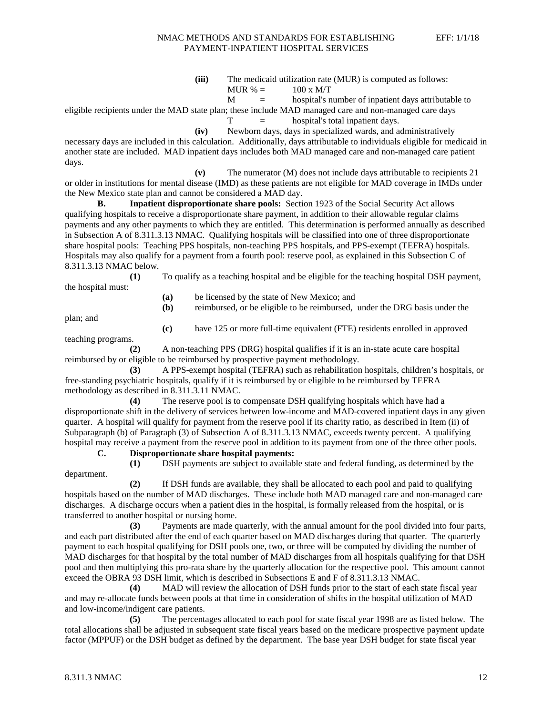**(iii)** The medicaid utilization rate (MUR) is computed as follows: MUR  $% = 100 x M/T$ 

$$
M = \text{hospital's number of inpatient days attribute}
$$

eligible recipients under the MAD state plan; these include MAD managed care and non-managed care days

 $T =$  hospital's total inpatient days.

**(iv)** Newborn days, days in specialized wards, and administratively necessary days are included in this calculation. Additionally, days attributable to individuals eligible for medicaid in another state are included. MAD inpatient days includes both MAD managed care and non-managed care patient days.

**(v)** The numerator (M) does not include days attributable to recipients 21 or older in institutions for mental disease (IMD) as these patients are not eligible for MAD coverage in IMDs under the New Mexico state plan and cannot be considered a MAD day.

**B. Inpatient disproportionate share pools:** Section 1923 of the Social Security Act allows qualifying hospitals to receive a disproportionate share payment, in addition to their allowable regular claims payments and any other payments to which they are entitled. This determination is performed annually as described in Subsection A of 8.311.3.13 NMAC. Qualifying hospitals will be classified into one of three disproportionate share hospital pools: Teaching PPS hospitals, non-teaching PPS hospitals, and PPS-exempt (TEFRA) hospitals. Hospitals may also qualify for a payment from a fourth pool: reserve pool, as explained in this Subsection C of 8.311.3.13 NMAC below.

**(1)** To qualify as a teaching hospital and be eligible for the teaching hospital DSH payment, the hospital must:

- **(a)** be licensed by the state of New Mexico; and
- **(b)** reimbursed, or be eligible to be reimbursed, under the DRG basis under the

plan; and

**(c)** have 125 or more full-time equivalent (FTE) residents enrolled in approved

teaching programs.

**(2)** A non-teaching PPS (DRG) hospital qualifies if it is an in-state acute care hospital reimbursed by or eligible to be reimbursed by prospective payment methodology.

**(3)** A PPS-exempt hospital (TEFRA) such as rehabilitation hospitals, children's hospitals, or free-standing psychiatric hospitals, qualify if it is reimbursed by or eligible to be reimbursed by TEFRA methodology as described in 8.311.3.11 NMAC.

**(4)** The reserve pool is to compensate DSH qualifying hospitals which have had a disproportionate shift in the delivery of services between low-income and MAD-covered inpatient days in any given quarter. A hospital will qualify for payment from the reserve pool if its charity ratio, as described in Item (ii) of Subparagraph (b) of Paragraph (3) of Subsection A of 8.311.3.13 NMAC, exceeds twenty percent. A qualifying hospital may receive a payment from the reserve pool in addition to its payment from one of the three other pools.

**C. Disproportionate share hospital payments:**

department.

**(1)** DSH payments are subject to available state and federal funding, as determined by the

**(2)** If DSH funds are available, they shall be allocated to each pool and paid to qualifying hospitals based on the number of MAD discharges. These include both MAD managed care and non-managed care discharges. A discharge occurs when a patient dies in the hospital, is formally released from the hospital, or is transferred to another hospital or nursing home.

**(3)** Payments are made quarterly, with the annual amount for the pool divided into four parts, and each part distributed after the end of each quarter based on MAD discharges during that quarter. The quarterly payment to each hospital qualifying for DSH pools one, two, or three will be computed by dividing the number of MAD discharges for that hospital by the total number of MAD discharges from all hospitals qualifying for that DSH pool and then multiplying this pro-rata share by the quarterly allocation for the respective pool. This amount cannot exceed the OBRA 93 DSH limit, which is described in Subsections E and F of 8.311.3.13 NMAC.

**(4)** MAD will review the allocation of DSH funds prior to the start of each state fiscal year and may re-allocate funds between pools at that time in consideration of shifts in the hospital utilization of MAD and low-income/indigent care patients.

**(5)** The percentages allocated to each pool for state fiscal year 1998 are as listed below. The total allocations shall be adjusted in subsequent state fiscal years based on the medicare prospective payment update factor (MPPUF) or the DSH budget as defined by the department. The base year DSH budget for state fiscal year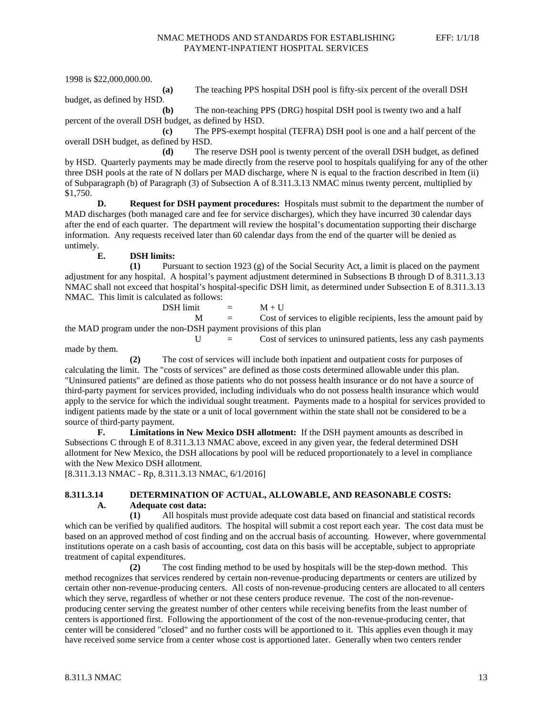1998 is \$22,000,000.00.

**(a)** The teaching PPS hospital DSH pool is fifty-six percent of the overall DSH

budget, as defined by HSD.

**(b)** The non-teaching PPS (DRG) hospital DSH pool is twenty two and a half percent of the overall DSH budget, as defined by HSD.

**(c)** The PPS-exempt hospital (TEFRA) DSH pool is one and a half percent of the overall DSH budget, as defined by HSD.

**(d)** The reserve DSH pool is twenty percent of the overall DSH budget, as defined by HSD. Quarterly payments may be made directly from the reserve pool to hospitals qualifying for any of the other three DSH pools at the rate of N dollars per MAD discharge, where N is equal to the fraction described in Item (ii) of Subparagraph (b) of Paragraph (3) of Subsection A of 8.311.3.13 NMAC minus twenty percent, multiplied by \$1,750.

**D. Request for DSH payment procedures:** Hospitals must submit to the department the number of MAD discharges (both managed care and fee for service discharges), which they have incurred 30 calendar days after the end of each quarter. The department will review the hospital's documentation supporting their discharge information. Any requests received later than 60 calendar days from the end of the quarter will be denied as untimely.

### **E. DSH limits:**

**(1)** Pursuant to section 1923 (g) of the Social Security Act, a limit is placed on the payment adjustment for any hospital. A hospital's payment adjustment determined in Subsections B through D of 8.311.3.13 NMAC shall not exceed that hospital's hospital-specific DSH limit, as determined under Subsection E of 8.311.3.13 NMAC. This limit is calculated as follows:

DSH limit

\n
$$
= M + U
$$
\nNot of services to eligible recipients, less the amount paid by the non DSH payment provisions of this plan.

the MAD program under the non-DSH payment provisions of this plan

 $U =$  Cost of services to uninsured patients, less any cash payments made by them.

**(2)** The cost of services will include both inpatient and outpatient costs for purposes of calculating the limit. The "costs of services" are defined as those costs determined allowable under this plan. "Uninsured patients" are defined as those patients who do not possess health insurance or do not have a source of third-party payment for services provided, including individuals who do not possess health insurance which would apply to the service for which the individual sought treatment. Payments made to a hospital for services provided to indigent patients made by the state or a unit of local government within the state shall not be considered to be a source of third-party payment.

**F. Limitations in New Mexico DSH allotment:** If the DSH payment amounts as described in Subsections C through E of 8.311.3.13 NMAC above, exceed in any given year, the federal determined DSH allotment for New Mexico, the DSH allocations by pool will be reduced proportionately to a level in compliance with the New Mexico DSH allotment.

[8.311.3.13 NMAC - Rp, 8.311.3.13 NMAC, 6/1/2016]

### **8.311.3.14 DETERMINATION OF ACTUAL, ALLOWABLE, AND REASONABLE COSTS: A. Adequate cost data:**

**(1)** All hospitals must provide adequate cost data based on financial and statistical records which can be verified by qualified auditors. The hospital will submit a cost report each year. The cost data must be based on an approved method of cost finding and on the accrual basis of accounting. However, where governmental institutions operate on a cash basis of accounting, cost data on this basis will be acceptable, subject to appropriate treatment of capital expenditures.

**(2)** The cost finding method to be used by hospitals will be the step-down method. This method recognizes that services rendered by certain non-revenue-producing departments or centers are utilized by certain other non-revenue-producing centers. All costs of non-revenue-producing centers are allocated to all centers which they serve, regardless of whether or not these centers produce revenue. The cost of the non-revenueproducing center serving the greatest number of other centers while receiving benefits from the least number of centers is apportioned first. Following the apportionment of the cost of the non-revenue-producing center, that center will be considered "closed" and no further costs will be apportioned to it. This applies even though it may have received some service from a center whose cost is apportioned later. Generally when two centers render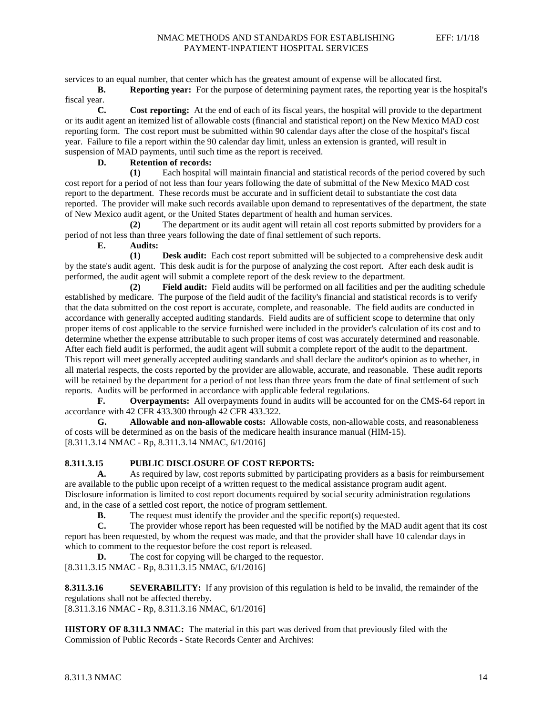services to an equal number, that center which has the greatest amount of expense will be allocated first.

**B. Reporting year:** For the purpose of determining payment rates, the reporting year is the hospital's fiscal year.<br> $C$ .

**Cost reporting:** At the end of each of its fiscal years, the hospital will provide to the department or its audit agent an itemized list of allowable costs (financial and statistical report) on the New Mexico MAD cost reporting form. The cost report must be submitted within 90 calendar days after the close of the hospital's fiscal year. Failure to file a report within the 90 calendar day limit, unless an extension is granted, will result in suspension of MAD payments, until such time as the report is received.

### **D. Retention of records:**

**(1)** Each hospital will maintain financial and statistical records of the period covered by such cost report for a period of not less than four years following the date of submittal of the New Mexico MAD cost report to the department. These records must be accurate and in sufficient detail to substantiate the cost data reported. The provider will make such records available upon demand to representatives of the department, the state of New Mexico audit agent, or the United States department of health and human services.

**(2)** The department or its audit agent will retain all cost reports submitted by providers for a period of not less than three years following the date of final settlement of such reports.

### **E. Audits:**

**(1) Desk audit:** Each cost report submitted will be subjected to a comprehensive desk audit by the state's audit agent. This desk audit is for the purpose of analyzing the cost report. After each desk audit is performed, the audit agent will submit a complete report of the desk review to the department.

**(2) Field audit:** Field audits will be performed on all facilities and per the auditing schedule established by medicare. The purpose of the field audit of the facility's financial and statistical records is to verify that the data submitted on the cost report is accurate, complete, and reasonable. The field audits are conducted in accordance with generally accepted auditing standards. Field audits are of sufficient scope to determine that only proper items of cost applicable to the service furnished were included in the provider's calculation of its cost and to determine whether the expense attributable to such proper items of cost was accurately determined and reasonable. After each field audit is performed, the audit agent will submit a complete report of the audit to the department. This report will meet generally accepted auditing standards and shall declare the auditor's opinion as to whether, in all material respects, the costs reported by the provider are allowable, accurate, and reasonable. These audit reports will be retained by the department for a period of not less than three years from the date of final settlement of such reports. Audits will be performed in accordance with applicable federal regulations.

**F. Overpayments:** All overpayments found in audits will be accounted for on the CMS-64 report in accordance with 42 CFR 433.300 through 42 CFR 433.322.

**G. Allowable and non-allowable costs:** Allowable costs, non-allowable costs, and reasonableness of costs will be determined as on the basis of the medicare health insurance manual (HIM-15). [8.311.3.14 NMAC - Rp, 8.311.3.14 NMAC, 6/1/2016]

### **8.311.3.15 PUBLIC DISCLOSURE OF COST REPORTS:**

**A.** As required by law, cost reports submitted by participating providers as a basis for reimbursement are available to the public upon receipt of a written request to the medical assistance program audit agent. Disclosure information is limited to cost report documents required by social security administration regulations and, in the case of a settled cost report, the notice of program settlement.

**B.** The request must identify the provider and the specific report(s) requested.

**C.** The provider whose report has been requested will be notified by the MAD audit agent that its cost report has been requested, by whom the request was made, and that the provider shall have 10 calendar days in which to comment to the requestor before the cost report is released.

**D.** The cost for copying will be charged to the requestor. [8.311.3.15 NMAC - Rp, 8.311.3.15 NMAC, 6/1/2016]

**8.311.3.16 SEVERABILITY:** If any provision of this regulation is held to be invalid, the remainder of the regulations shall not be affected thereby. [8.311.3.16 NMAC - Rp, 8.311.3.16 NMAC, 6/1/2016]

**HISTORY OF 8.311.3 NMAC:** The material in this part was derived from that previously filed with the Commission of Public Records - State Records Center and Archives: